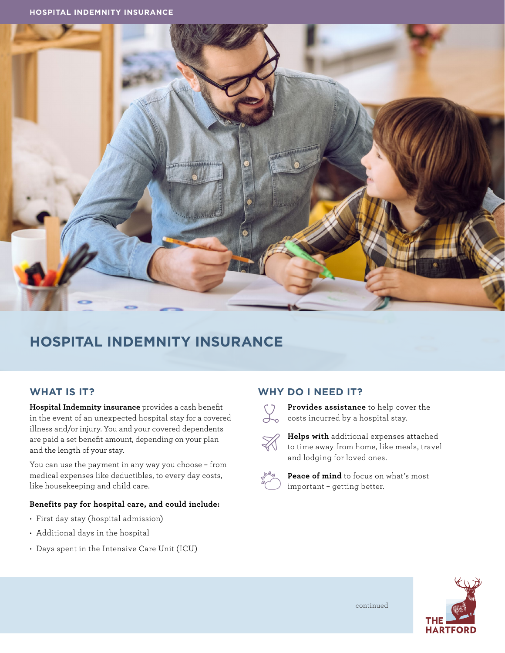

# **HOSPITAL INDEMNITY INSURANCE**

## **WHAT IS IT?**

**Hospital Indemnity insurance** provides a cash benefit in the event of an unexpected hospital stay for a covered illness and/or injury. You and your covered dependents are paid a set benefit amount, depending on your plan and the length of your stay.

You can use the payment in any way you choose – from medical expenses like deductibles, to every day costs, like housekeeping and child care.

#### **Benefits pay for hospital care, and could include:**

- First day stay (hospital admission)
- Additional days in the hospital
- Days spent in the Intensive Care Unit (ICU)

#### **WHY DO I NEED IT?**



**Provides assistance** to help cover the **Constraint Constraint Constraint Constraint Constraint Constraint Constraint Constraint Constraint Constraint Constraint Constraint Constraint Construction Construction Construction Construction Construction Construction** 



 **Helps with** additional expenses attached to time away from home, like meals, travel and lodging for loved ones.



 **Peace of mind** to focus on what's most important – getting better.



continued